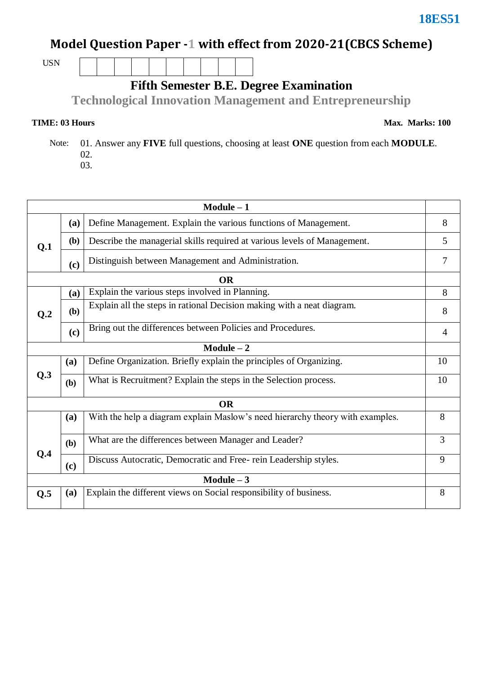## **Model Question Paper -1 with effect from 2020-21(CBCS Scheme)**

USN

**Fifth Semester B.E. Degree Examination**

**Technological Innovation Management and Entrepreneurship**

## **TIME: 03 Hours**

 Note: 01. Answer any **FIVE** full questions, choosing at least **ONE** question from each **MODULE**. 02. 03.

| $Module - 1$ |                                                                          |                                                                               |                |  |  |  |  |  |
|--------------|--------------------------------------------------------------------------|-------------------------------------------------------------------------------|----------------|--|--|--|--|--|
|              | (a)                                                                      | Define Management. Explain the various functions of Management.               | 8              |  |  |  |  |  |
| Q.1          | (b)                                                                      | Describe the managerial skills required at various levels of Management.      |                |  |  |  |  |  |
|              | (c)                                                                      | Distinguish between Management and Administration.                            |                |  |  |  |  |  |
| <b>OR</b>    |                                                                          |                                                                               |                |  |  |  |  |  |
| Q.2          | (a)                                                                      | Explain the various steps involved in Planning.                               | 8              |  |  |  |  |  |
|              | (b)                                                                      | Explain all the steps in rational Decision making with a neat diagram.        |                |  |  |  |  |  |
|              | (c)                                                                      | Bring out the differences between Policies and Procedures.                    | $\overline{4}$ |  |  |  |  |  |
| $Module - 2$ |                                                                          |                                                                               |                |  |  |  |  |  |
| Q.3          | (a)                                                                      | Define Organization. Briefly explain the principles of Organizing.            | 10             |  |  |  |  |  |
|              | (b)                                                                      | What is Recruitment? Explain the steps in the Selection process.              | 10             |  |  |  |  |  |
| <b>OR</b>    |                                                                          |                                                                               |                |  |  |  |  |  |
|              | (a)                                                                      | With the help a diagram explain Maslow's need hierarchy theory with examples. | 8              |  |  |  |  |  |
| Q.4          | (b)                                                                      | What are the differences between Manager and Leader?                          | 3              |  |  |  |  |  |
|              | (c)                                                                      | Discuss Autocratic, Democratic and Free-rein Leadership styles.               |                |  |  |  |  |  |
| $Module - 3$ |                                                                          |                                                                               |                |  |  |  |  |  |
| Q.5          | Explain the different views on Social responsibility of business.<br>(a) |                                                                               |                |  |  |  |  |  |

## **Max. Marks: 100**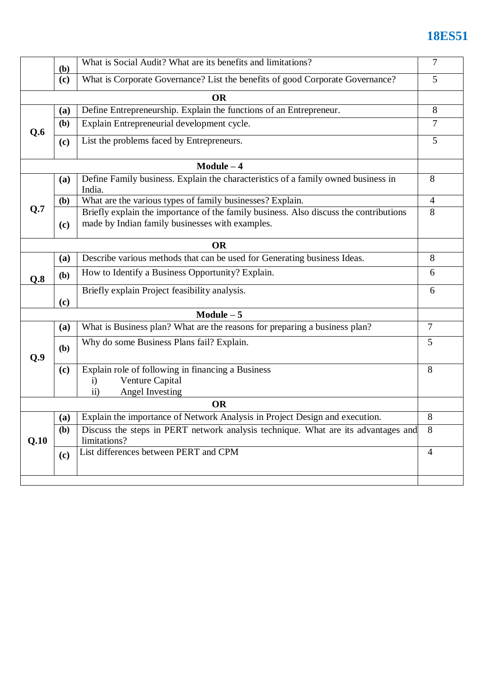## **18ES51**

|           | <b>(b)</b> | $\tau$                                                                                                                                   |                |  |  |  |
|-----------|------------|------------------------------------------------------------------------------------------------------------------------------------------|----------------|--|--|--|
|           | (c)        | What is Corporate Governance? List the benefits of good Corporate Governance?                                                            | 5              |  |  |  |
|           |            | <b>OR</b>                                                                                                                                |                |  |  |  |
| Q.6       | (a)        | Define Entrepreneurship. Explain the functions of an Entrepreneur.                                                                       |                |  |  |  |
|           | (b)        | Explain Entrepreneurial development cycle.                                                                                               |                |  |  |  |
|           | (c)        | List the problems faced by Entrepreneurs.                                                                                                |                |  |  |  |
|           |            | $Module - 4$                                                                                                                             |                |  |  |  |
| Q.7       | (a)        | Define Family business. Explain the characteristics of a family owned business in<br>India.                                              | 8              |  |  |  |
|           | (b)        | What are the various types of family businesses? Explain.                                                                                |                |  |  |  |
|           | (c)        | Briefly explain the importance of the family business. Also discuss the contributions<br>made by Indian family businesses with examples. |                |  |  |  |
|           |            | <b>OR</b>                                                                                                                                |                |  |  |  |
|           | (a)        | Describe various methods that can be used for Generating business Ideas.                                                                 | 8              |  |  |  |
| Q.8       | (b)        | How to Identify a Business Opportunity? Explain.                                                                                         |                |  |  |  |
|           | (c)        | 6                                                                                                                                        |                |  |  |  |
|           |            | $Module - 5$                                                                                                                             |                |  |  |  |
|           | (a)        | What is Business plan? What are the reasons for preparing a business plan?                                                               | $\overline{7}$ |  |  |  |
| Q.9       | (b)        | Why do some Business Plans fail? Explain.                                                                                                |                |  |  |  |
|           | (c)        | Explain role of following in financing a Business<br>Venture Capital<br>$\mathbf{i}$<br><b>Angel Investing</b><br>$\rm ii)$              | 8              |  |  |  |
| <b>OR</b> |            |                                                                                                                                          |                |  |  |  |
|           | (a)        | Explain the importance of Network Analysis in Project Design and execution.                                                              | 8              |  |  |  |
| Q.10      | <b>(b)</b> | Discuss the steps in PERT network analysis technique. What are its advantages and<br>limitations?                                        |                |  |  |  |
|           | (c)        | List differences between PERT and CPM                                                                                                    |                |  |  |  |
|           |            |                                                                                                                                          |                |  |  |  |